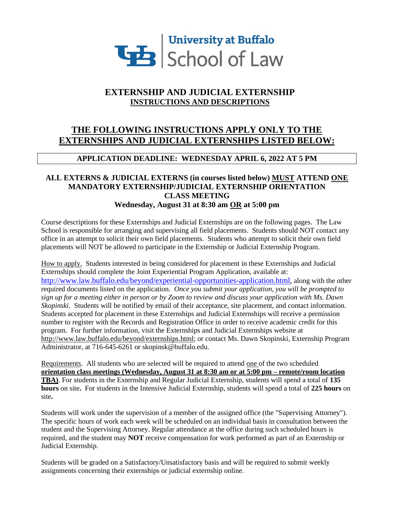

# **EXTERNSHIP AND JUDICIAL EXTERNSHIP INSTRUCTIONS AND DESCRIPTIONS**

# **THE FOLLOWING INSTRUCTIONS APPLY ONLY TO THE EXTERNSHIPS AND JUDICIAL EXTERNSHIPS LISTED BELOW:**

## **APPLICATION DEADLINE: WEDNESDAY APRIL 6, 2022 AT 5 PM**

## **ALL EXTERNS & JUDICIAL EXTERNS (in courses listed below) MUST ATTEND ONE MANDATORY EXTERNSHIP/JUDICIAL EXTERNSHIP ORIENTATION CLASS MEETING Wednesday, August 31 at 8:30 am OR at 5:00 pm**

Course descriptions for these Externships and Judicial Externships are on the following pages. The Law School is responsible for arranging and supervising all field placements. Students should NOT contact any office in an attempt to solicit their own field placements. Students who attempt to solicit their own field placements will NOT be allowed to participate in the Externship or Judicial Externship Program.

How to apply. Students interested in being considered for placement in these Externships and Judicial Externships should complete the Joint Experiential Program Application, available at: [http://www.law.buffalo.edu/beyond/experiential-opportunities-application.html,](http://www.law.buffalo.edu/beyond/experiential-opportunities-application.html) along with the other required documents listed on the application. *Once you submit your application, you will be prompted to sign up for a meeting either in person or by Zoom to review and discuss your application with Ms. Dawn Skopinski*. Students will be notified by email of their acceptance, site placement, and contact information. Students accepted for placement in these Externships and Judicial Externships will receive a permission number to register with the Records and Registration Office in order to receive academic credit for this program. For further information, visit the Externships and Judicial Externships website at [http://www.law.buffalo.edu/beyond/externships.html;](http://www.law.buffalo.edu/beyond/externships.html) or contact Ms. Dawn Skopinski, Externship Program Administrator, at 716-645-6261 or skopinsk@buffalo.edu.

Requirements. All students who are selected will be required to attend one of the two scheduled **orientation class meetings (Wednesday, August 31 at 8:30 am or at 5:00 pm – remote/room location TBA)**. For students in the Externship and Regular Judicial Externship, students will spend a total of **135 hours** on site**.** For students in the Intensive Judicial Externship, students will spend a total of **225 hours** on site**.** 

Students will work under the supervision of a member of the assigned office (the "Supervising Attorney"). The specific hours of work each week will be scheduled on an individual basis in consultation between the student and the Supervising Attorney. Regular attendance at the office during such scheduled hours is required, and the student may **NOT** receive compensation for work performed as part of an Externship or Judicial Externship.

Students will be graded on a Satisfactory/Unsatisfactory basis and will be required to submit weekly assignments concerning their externships or judicial externship online.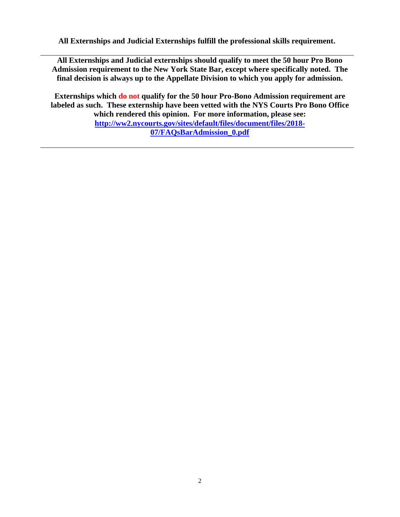**All Externships and Judicial Externships fulfill the professional skills requirement.**

**All Externships and Judicial externships should qualify to meet the 50 hour Pro Bono Admission requirement to the New York State Bar, except where specifically noted. The final decision is always up to the Appellate Division to which you apply for admission.**

**Externships which do not qualify for the 50 hour Pro-Bono Admission requirement are labeled as such. These externship have been vetted with the NYS Courts Pro Bono Office which rendered this opinion. For more information, please see: [http://ww2.nycourts.gov/sites/default/files/document/files/2018-](http://ww2.nycourts.gov/sites/default/files/document/files/2018-07/FAQsBarAdmission_0.pdf) [07/FAQsBarAdmission\\_0.pdf](http://ww2.nycourts.gov/sites/default/files/document/files/2018-07/FAQsBarAdmission_0.pdf)**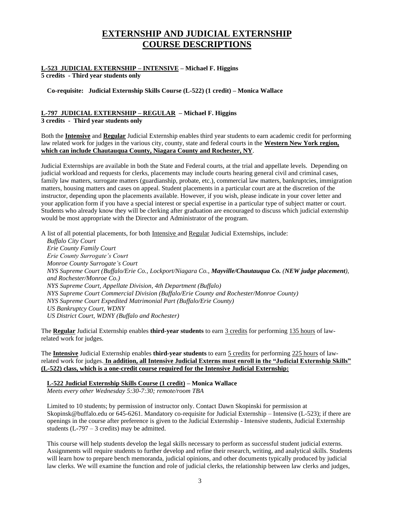# **EXTERNSHIP AND JUDICIAL EXTERNSHIP COURSE DESCRIPTIONS**

# **L-523 JUDICIAL EXTERNSHIP – INTENSIVE – Michael F. Higgins**

**5 credits - Third year students only**

**Co-requisite: Judicial Externship Skills Course (L-522) (1 credit) – Monica Wallace**

# **L-797 JUDICIAL EXTERNSHIP – REGULAR – Michael F. Higgins**

**3 credits - Third year students only**

Both the **Intensive** and **Regular** Judicial Externship enables third year students to earn academic credit for performing law related work for judges in the various city, county, state and federal courts in the **Western New York region, which can include Chautauqua County, Niagara County and Rochester, NY**.

Judicial Externships are available in both the State and Federal courts, at the trial and appellate levels. Depending on judicial workload and requests for clerks, placements may include courts hearing general civil and criminal cases, family law matters, surrogate matters (guardianship, probate, etc.), commercial law matters, bankruptcies, immigration matters, housing matters and cases on appeal. Student placements in a particular court are at the discretion of the instructor, depending upon the placements available. However, if you wish, please indicate in your cover letter and your application form if you have a special interest or special expertise in a particular type of subject matter or court. Students who already know they will be clerking after graduation are encouraged to discuss which judicial externship would be most appropriate with the Director and Administrator of the program.

A list of all potential placements, for both Intensive and Regular Judicial Externships, include:

*Buffalo City Court Erie County Family Court Erie County Surrogate's Court Monroe County Surrogate's Court NYS Supreme Court (Buffalo/Erie Co., Lockport/Niagara Co., Mayville/Chautauqua Co. (NEW judge placement), and Rochester/Monroe Co.) NYS Supreme Court, Appellate Division, 4th Department (Buffalo) NYS Supreme Court Commercial Division (Buffalo/Erie County and Rochester/Monroe County) NYS Supreme Court Expedited Matrimonial Part (Buffalo/Erie County) US Bankruptcy Court, WDNY US District Court, WDNY (Buffalo and Rochester)* 

The **Regular** Judicial Externship enables **third-year students** to earn 3 credits for performing 135 hours of lawrelated work for judges.

The **Intensive** Judicial Externship enables **third-year students** to earn 5 credits for performing 225 hours of lawrelated work for judges. **In addition, all Intensive Judicial Externs must enroll in the "Judicial Externship Skills" (L-522) class, which is a one-credit course required for the Intensive Judicial Externship:**

#### **L-522 Judicial Externship Skills Course (1 credit) – Monica Wallace** *Meets every other Wednesday 5:30-7:30; remote/room TBA*

Limited to 10 students; by permission of instructor only. Contact Dawn Skopinski for permission at Skopinsk@buffalo.edu or 645-6261. Mandatory co-requisite for Judicial Externship – Intensive (L-523); if there are openings in the course after preference is given to the Judicial Externship - Intensive students, Judicial Externship students  $(L-797 - 3 \text{ credits})$  may be admitted.

This course will help students develop the legal skills necessary to perform as successful student judicial externs. Assignments will require students to further develop and refine their research, writing, and analytical skills. Students will learn how to prepare bench memoranda, judicial opinions, and other documents typically produced by judicial law clerks. We will examine the function and role of judicial clerks, the relationship between law clerks and judges,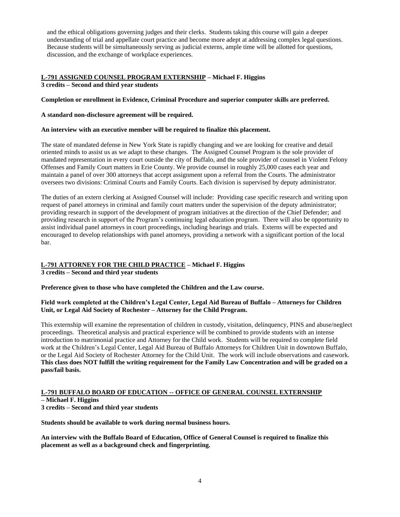and the ethical obligations governing judges and their clerks. Students taking this course will gain a deeper understanding of trial and appellate court practice and become more adept at addressing complex legal questions. Because students will be simultaneously serving as judicial externs, ample time will be allotted for questions, discussion, and the exchange of workplace experiences.

## **L-791 ASSIGNED COUNSEL PROGRAM EXTERNSHIP – Michael F. Higgins 3 credits – Second and third year students**

## **Completion or enrollment in Evidence, Criminal Procedure and superior computer skills are preferred.**

## **A standard non-disclosure agreement will be required.**

## **An interview with an executive member will be required to finalize this placement.**

The state of mandated defense in New York State is rapidly changing and we are looking for creative and detail oriented minds to assist us as we adapt to these changes. The Assigned Counsel Program is the sole provider of mandated representation in every court outside the city of Buffalo, and the sole provider of counsel in Violent Felony Offenses and Family Court matters in Erie County. We provide counsel in roughly 25,000 cases each year and maintain a panel of over 300 attorneys that accept assignment upon a referral from the Courts. The administrator oversees two divisions: Criminal Courts and Family Courts. Each division is supervised by deputy administrator.

The duties of an extern clerking at Assigned Counsel will include: Providing case specific research and writing upon request of panel attorneys in criminal and family court matters under the supervision of the deputy administrator; providing research in support of the development of program initiatives at the direction of the Chief Defender; and providing research in support of the Program's continuing legal education program. There will also be opportunity to assist individual panel attorneys in court proceedings, including hearings and trials. Externs will be expected and encouraged to develop relationships with panel attorneys, providing a network with a significant portion of the local bar.

## **L-791 ATTORNEY FOR THE CHILD PRACTICE – Michael F. Higgins**

**3 credits – Second and third year students**

**Preference given to those who have completed the Children and the Law course.**

#### **Field work completed at the Children's Legal Center, Legal Aid Bureau of Buffalo – Attorneys for Children Unit, or Legal Aid Society of Rochester – Attorney for the Child Program.**

This externship will examine the representation of children in custody, visitation, delinquency, PINS and abuse/neglect proceedings. Theoretical analysis and practical experience will be combined to provide students with an intense introduction to matrimonial practice and Attorney for the Child work. Students will be required to complete field work at the Children's Legal Center, Legal Aid Bureau of Buffalo Attorneys for Children Unit in downtown Buffalo, or the Legal Aid Society of Rochester Attorney for the Child Unit. The work will include observations and casework. **This class does NOT fulfill the writing requirement for the Family Law Concentration and will be graded on a pass/fail basis.**

## **L-791 BUFFALO BOARD OF EDUCATION -- OFFICE OF GENERAL COUNSEL EXTERNSHIP**

**– Michael F. Higgins**

**3 credits – Second and third year students**

**Students should be available to work during normal business hours.**

**An interview with the Buffalo Board of Education, Office of General Counsel is required to finalize this placement as well as a background check and fingerprinting.**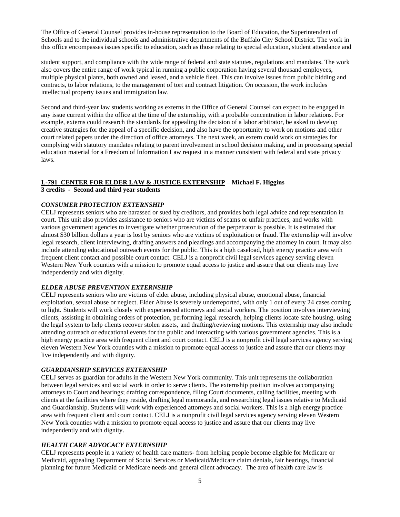The Office of General Counsel provides in-house representation to the Board of Education, the Superintendent of Schools and to the individual schools and administrative departments of the Buffalo City School District. The work in this office encompasses issues specific to education, such as those relating to special education, student attendance and

student support, and compliance with the wide range of federal and state statutes, regulations and mandates. The work also covers the entire range of work typical in running a public corporation having several thousand employees, multiple physical plants, both owned and leased, and a vehicle fleet. This can involve issues from public bidding and contracts, to labor relations, to the management of tort and contract litigation. On occasion, the work includes intellectual property issues and immigration law.

Second and third-year law students working as externs in the Office of General Counsel can expect to be engaged in any issue current within the office at the time of the externship, with a probable concentration in labor relations. For example, externs could research the standards for appealing the decision of a labor arbitrator, be asked to develop creative strategies for the appeal of a specific decision, and also have the opportunity to work on motions and other court related papers under the direction of office attorneys. The next week, an extern could work on strategies for complying with statutory mandates relating to parent involvement in school decision making, and in processing special education material for a Freedom of Information Law request in a manner consistent with federal and state privacy laws.

#### **L-791 CENTER FOR ELDER LAW & JUSTICE EXTERNSHIP – Michael F. Higgins**

**3 credits - Second and third year students**

#### *CONSUMER PROTECTION EXTERNSHIP*

CELJ represents seniors who are harassed or sued by creditors, and provides both legal advice and representation in court. This unit also provides assistance to seniors who are victims of scams or unfair practices, and works with various government agencies to investigate whether prosecution of the perpetrator is possible. It is estimated that almost \$30 billion dollars a year is lost by seniors who are victims of exploitation or fraud. The externship will involve legal research, client interviewing, drafting answers and pleadings and accompanying the attorney in court. It may also include attending educational outreach events for the public. This is a high caseload, high energy practice area with frequent client contact and possible court contact. CELJ is a nonprofit civil legal services agency serving eleven Western New York counties with a mission to promote equal access to justice and assure that our clients may live independently and with dignity.

## *ELDER ABUSE PREVENTION EXTERNSHIP*

CELJ represents seniors who are victims of elder abuse, including physical abuse, emotional abuse, financial exploitation, sexual abuse or neglect. Elder Abuse is severely underreported, with only 1 out of every 24 cases coming to light. Students will work closely with experienced attorneys and social workers. The position involves interviewing clients, assisting in obtaining orders of protection, performing legal research, helping clients locate safe housing, using the legal system to help clients recover stolen assets, and drafting/reviewing motions. This externship may also include attending outreach or educational events for the public and interacting with various government agencies. This is a high energy practice area with frequent client and court contact. CELJ is a nonprofit civil legal services agency serving eleven Western New York counties with a mission to promote equal access to justice and assure that our clients may live independently and with dignity.

#### *GUARDIANSHIP SERVICES EXTERNSHIP*

CELJ serves as guardian for adults in the Western New York community. This unit represents the collaboration between legal services and social work in order to serve clients. The externship position involves accompanying attorneys to Court and hearings; drafting correspondence, filing Court documents, calling facilities, meeting with clients at the facilities where they reside, drafting legal memoranda, and researching legal issues relative to Medicaid and Guardianship. Students will work with experienced attorneys and social workers. This is a high energy practice area with frequent client and court contact. CELJ is a nonprofit civil legal services agency serving eleven Western New York counties with a mission to promote equal access to justice and assure that our clients may live independently and with dignity.

#### *HEALTH CARE ADVOCACY EXTERNSHIP*

CELJ represents people in a variety of health care matters- from helping people become eligible for Medicare or Medicaid, appealing Department of Social Services or Medicaid/Medicare claim denials, fair hearings, financial planning for future Medicaid or Medicare needs and general client advocacy. The area of health care law is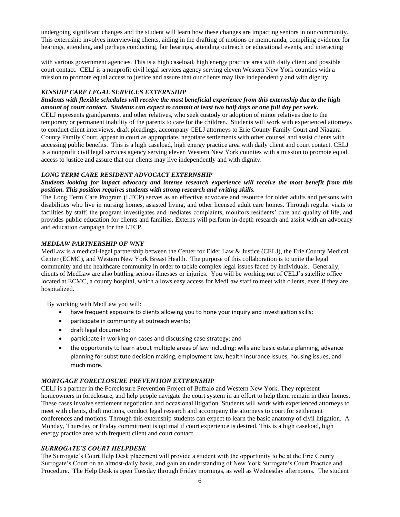undergoing significant changes and the student will learn how these changes are impacting seniors in our community. This externship involves interviewing clients, aiding in the drafting of motions or memoranda, compiling evidence for hearings, attending, and perhaps conducting, fair hearings, attending outreach or educational events, and interacting

with various government agencies. This is a high caseload, high energy practice area with daily client and possible court contact. CELJ is a nonprofit civil legal services agency serving eleven Western New York counties with a mission to promote equal access to justice and assure that our clients may live independently and with dignity.

#### *KINSHIP CARE LEGAL SERVICES EXTERNSHIP*

#### *Students with flexible schedules will receive the most beneficial experience from this externship due to the high amount of court contact. Students can expect to commit at least two half days or one full day per week.*

CELJ represents grandparents, and other relatives, who seek custody or adoption of minor relatives due to the temporary or permanent inability of the parents to care for the children. Students will work with experienced attorneys to conduct client interviews, draft pleadings, accompany CELJ attorneys to Erie County Family Court and Niagara County Family Court, appear in court as appropriate, negotiate settlements with other counsel and assist clients with accessing public benefits. This is a high caseload, high energy practice area with daily client and court contact. CELJ is a nonprofit civil legal services agency serving eleven Western New York counties with a mission to promote equal access to justice and assure that our clients may live independently and with dignity.

## *LONG TERM CARE RESIDENT ADVOCACY EXTERNSHIP*

#### *Students looking for impact advocacy and intense research experience will receive the most benefit from this position. This position requires students with strong research and writing skills.*

The Long Term Care Program (LTCP) serves as an effective advocate and resource for older adults and persons with disabilities who live in nursing homes, assisted living, and other licensed adult care homes. Through regular visits to facilities by staff, the program investigates and mediates complaints, monitors residents' care and quality of life, and provides public education for clients and families. Externs will perform in-depth research and assist with an advocacy and education campaign for the LTCP.

#### *MEDLAW PARTNERSHIP OF WNY*

MedLaw is a medical-legal partnership between the Center for Elder Law & Justice (CELJ), the Erie County Medical Center (ECMC), and Western New York Breast Health. The purpose of this collaboration is to unite the legal community and the healthcare community in order to tackle complex legal issues faced by individuals. Generally, clients of MedLaw are also battling serious illnesses or injuries. You will be working out of CELJ's satellite office located at ECMC, a county hospital, which allows easy access for MedLaw staff to meet with clients, even if they are hospitalized.

By working with MedLaw you will:

- have frequent exposure to clients allowing you to hone your inquiry and investigation skills;
- participate in community at outreach events;
- draft legal documents;
- participate in working on cases and discussing case strategy; and
- the opportunity to learn about multiple areas of law including: wills and basic estate planning, advance planning for substitute decision making, employment law, health insurance issues, housing issues, and much more.

## *MORTGAGE FORECLOSURE PREVENTION EXTERNSHIP*

CELJ is a partner in the Foreclosure Prevention Project of Buffalo and Western New York. They represent homeowners in foreclosure, and help people navigate the court system in an effort to help them remain in their homes. These cases involve settlement negotiation and occasional litigation. Students will work with experienced attorneys to meet with clients, draft motions, conduct legal research and accompany the attorneys to court for settlement conferences and motions. Through this externship students can expect to learn the basic anatomy of civil litigation. A Monday, Thursday or Friday commitment is optimal if court experience is desired. This is a high caseload, high energy practice area with frequent client and court contact.

#### *SURROGATE'S COURT HELPDESK*

The Surrogate's Court Help Desk placement will provide a student with the opportunity to be at the Erie County Surrogate's Court on an almost-daily basis, and gain an understanding of New York Surrogate's Court Practice and Procedure. The Help Desk is open Tuesday through Friday mornings, as well as Wednesday afternoons. The student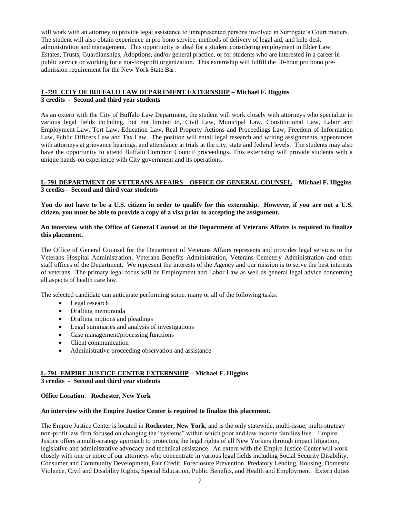will work with an attorney to provide legal assistance to unrepresented persons involved in Surrogate's Court matters. The student will also obtain experience in pro bono service, methods of delivery of legal aid, and help desk administration and management. This opportunity is ideal for a student considering employment in Elder Law, Estates, Trusts, Guardianships, Adoptions, and/or general practice, or for students who are interested in a career in public service or working for a not-for-profit organization. This externship will fulfill the 50-hour pro bono preadmission requirement for the New York State Bar.

## **L-791 CITY OF BUFFALO LAW DEPARTMENT EXTERNSHIP – Michael F. Higgins 3 credits - Second and third year students**

As an extern with the City of Buffalo Law Department, the student will work closely with attorneys who specialize in various legal fields including, but not limited to, Civil Law, Municipal Law, Constitutional Law, Labor and Employment Law, Tort Law, Education Law, Real Property Actions and Proceedings Law, Freedom of Information Law, Public Officers Law and Tax Law. The position will entail legal research and writing assignments, appearances with attorneys at grievance hearings, and attendance at trials at the city, state and federal levels. The students may also have the opportunity to attend Buffalo Common Council proceedings. This externship will provide students with a unique hands-on experience with City government and its operations.

#### **L-791 DEPARTMENT OF VETERANS AFFAIRS – OFFICE OF GENERAL COUNSEL – Michael F. Higgins 3 credits – Second and third year students**

**You do not have to be a U.S. citizen in order to qualify for this externship. However, if you are not a U.S. citizen, you must be able to provide a copy of a visa prior to accepting the assignment.**

#### **An interview with the Office of General Counsel at the Department of Veterans Affairs is required to finalize this placement.**

The Office of General Counsel for the Department of Veterans Affairs represents and provides legal services to the Veterans Hospital Administration, Veterans Benefits Administration, Veterans Cemetery Administration and other staff offices of the Department. We represent the interests of the Agency and our mission is to serve the best interests of veterans. The primary legal focus will be Employment and Labor Law as well as general legal advice concerning all aspects of health care law.

The selected candidate can anticipate performing some, many or all of the following tasks:

- Legal research
- Drafting memoranda
- Drafting motions and pleadings
- Legal summaries and analysis of investigations
- Case management/processing functions
- Client communication
- Administrative proceeding observation and assistance

#### **L-791 EMPIRE JUSTICE CENTER EXTERNSHIP – Michael F. Higgins 3 credits - Second and third year students**

**Office Location**: **Rochester, New York**

#### **An interview with the Empire Justice Center is required to finalize this placement.**

The Empire Justice Center is located in **Rochester, New York**, and is the only statewide, multi-issue, multi-strategy non-profit law firm focused on changing the "systems" within which poor and low income families live. Empire Justice offers a multi-strategy approach to protecting the legal rights of all New Yorkers through impact litigation, legislative and administrative advocacy and technical assistance. An extern with the Empire Justice Center will work closely with one or more of our attorneys who concentrate in various legal fields including Social Security Disability, Consumer and Community Development, Fair Credit, Foreclosure Prevention, Predatory Lending, Housing, Domestic Violence, Civil and Disability Rights, Special Education, Public Benefits, and Health and Employment. Extern duties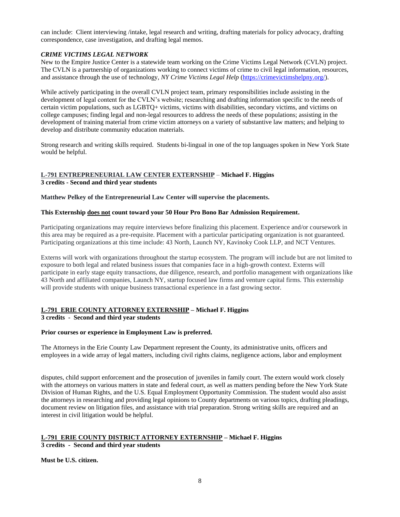can include: Client interviewing /intake, legal research and writing, drafting materials for policy advocacy, drafting correspondence, case investigation, and drafting legal memos.

## *CRIME VICTIMS LEGAL NETWORK*

New to the Empire Justice Center is a statewide team working on the Crime Victims Legal Network (CVLN) project. The CVLN is a partnership of organizations working to connect victims of crime to civil legal information, resources, and assistance through the use of technology, *NY Crime Victims Legal Help* [\(https://crimevictimshelpny.org/\)](https://crimevictimshelpny.org/).

While actively participating in the overall CVLN project team, primary responsibilities include assisting in the development of legal content for the CVLN's website; researching and drafting information specific to the needs of certain victim populations, such as LGBTQ+ victims, victims with disabilities, secondary victims, and victims on college campuses; finding legal and non-legal resources to address the needs of these populations; assisting in the development of training material from crime victim attorneys on a variety of substantive law matters; and helping to develop and distribute community education materials.

Strong research and writing skills required. Students bi-lingual in one of the top languages spoken in New York State would be helpful.

## **L-791 ENTREPRENEURIAL LAW CENTER EXTERNSHIP** – **Michael F. Higgins 3 credits - Second and third year students**

**Matthew Pelkey of the Entrepreneurial Law Center will supervise the placements.**

#### **This Externship does not count toward your 50 Hour Pro Bono Bar Admission Requirement.**

Participating organizations may require interviews before finalizing this placement. Experience and/or coursework in this area may be required as a pre-requisite. Placement with a particular participating organization is not guaranteed. Participating organizations at this time include: 43 North, Launch NY, Kavinoky Cook LLP, and NCT Ventures.

Externs will work with organizations throughout the startup ecosystem. The program will include but are not limited to exposure to both legal and related business issues that companies face in a high-growth context. Externs will participate in early stage equity transactions, due diligence, research, and portfolio management with organizations like 43 North and affiliated companies, Launch NY, startup focused law firms and venture capital firms. This externship will provide students with unique business transactional experience in a fast growing sector.

## **L-791 ERIE COUNTY ATTORNEY EXTERNSHIP – Michael F. Higgins**

#### **3 credits - Second and third year students**

## **Prior courses or experience in Employment Law is preferred.**

The Attorneys in the Erie County Law Department represent the County, its administrative units, officers and employees in a wide array of legal matters, including civil rights claims, negligence actions, labor and employment

disputes, child support enforcement and the prosecution of juveniles in family court. The extern would work closely with the attorneys on various matters in state and federal court, as well as matters pending before the New York State Division of Human Rights, and the U.S. Equal Employment Opportunity Commission. The student would also assist the attorneys in researching and providing legal opinions to County departments on various topics, drafting pleadings, document review on litigation files, and assistance with trial preparation. Strong writing skills are required and an interest in civil litigation would be helpful.

#### **L-791 ERIE COUNTY DISTRICT ATTORNEY EXTERNSHIP – Michael F. Higgins 3 credits - Second and third year students**

**Must be U.S. citizen.**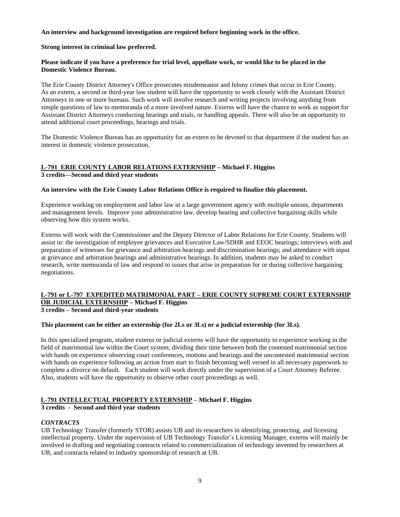#### **An interview and background investigation are required before beginning work in the office.**

#### **Strong interest in criminal law preferred.**

## **Please indicate if you have a preference for trial level, appellate work, or would like to be placed in the Domestic Violence Bureau.**

The Erie County District Attorney's Office prosecutes misdemeanor and felony crimes that occur in Erie County. As an extern, a second or third-year law student will have the opportunity to work closely with the Assistant District Attorneys in one or more bureaus. Such work will involve research and writing projects involving anything from simple questions of law to memoranda of a more involved nature. Externs will have the chance to work as support for Assistant District Attorneys conducting hearings and trials, or handling appeals. There will also be an opportunity to attend additional court proceedings, hearings and trials.

The Domestic Violence Bureau has an opportunity for an extern to be devoted to that department if the student has an interest in domestic violence prosecution.

# **L-791 ERIE COUNTY LABOR RELATIONS EXTERNSHIP – Michael F. Higgins**

**3 credits—Second and third year students**

#### **An interview with the Erie County Labor Relations Office is required to finalize this placement.**

Experience working on employment and labor law in a large government agency with multiple unions, departments and management levels. Improve your administrative law, develop hearing and collective bargaining skills while observing how this system works.

Externs will work with the Commissioner and the Deputy Director of Labor Relations for Erie County. Students will assist in: the investigation of employee grievances and Executive Law/SDHR and EEOC hearings; interviews with and preparation of witnesses for grievance and arbitration hearings and discrimination hearings; and attendance with input at grievance and arbitration hearings and administrative hearings. In addition, students may be asked to conduct research, write memoranda of law and respond to issues that arise in preparation for or during collective bargaining negotiations.

## **L-791 or L-797 EXPEDITED MATRIMONIAL PART – ERIE COUNTY SUPREME COURT EXTERNSHIP OR JUDICIAL EXTERNSHIP – Michael F. Higgins**

**3 credits – Second and third-year students**

## **This placement can be either an externship (for 2Ls or 3Ls) or a judicial externship (for 3Ls).**

In this specialized program, student externs or judicial externs will have the opportunity to experience working in the field of matrimonial law within the Court system, dividing their time between both the contested matrimonial section with hands on experience observing court conferences, motions and hearings and the uncontested matrimonial section with hands on experience following an action from start to finish becoming well versed in all necessary paperwork to complete a divorce on default. Each student will work directly under the supervision of a Court Attorney Referee. Also, students will have the opportunity to observe other court proceedings as well.

## **L-791 INTELLECTUAL PROPERTY EXTERNSHIP – Michael F. Higgins**

## **3 credits - Second and third year students**

#### *CONTRACTS*

UB Technology Transfer (formerly STOR) assists UB and its researchers in identifying, protecting, and licensing intellectual property. Under the supervision of UB Technology Transfer's Licensing Manager, externs will mainly be involved in drafting and negotiating contracts related to commercialization of technology invented by researchers at UB, and contracts related to industry sponsorship of research at UB.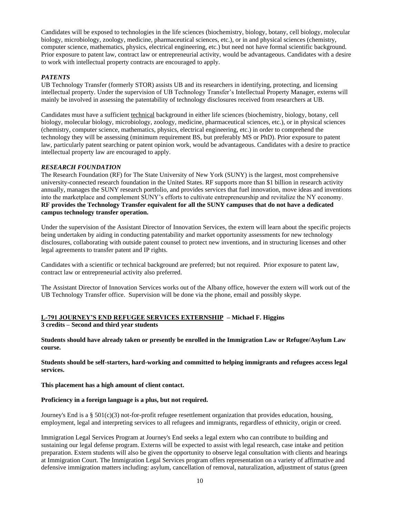Candidates will be exposed to technologies in the life sciences (biochemistry, biology, botany, cell biology, molecular biology, microbiology, zoology, medicine, pharmaceutical sciences, etc.), or in and physical sciences (chemistry, computer science, mathematics, physics, electrical engineering, etc.) but need not have formal scientific background. Prior exposure to patent law, contract law or entrepreneurial activity, would be advantageous. Candidates with a desire to work with intellectual property contracts are encouraged to apply.

## *PATENTS*

UB Technology Transfer (formerly STOR) assists UB and its researchers in identifying, protecting, and licensing intellectual property. Under the supervision of UB Technology Transfer's Intellectual Property Manager, externs will mainly be involved in assessing the patentability of technology disclosures received from researchers at UB.

Candidates must have a sufficient technical background in either life sciences (biochemistry, biology, botany, cell biology, molecular biology, microbiology, zoology, medicine, pharmaceutical sciences, etc.), or in physical sciences (chemistry, computer science, mathematics, physics, electrical engineering, etc.) in order to comprehend the technology they will be assessing (minimum requirement BS, but preferably MS or PhD). Prior exposure to patent law, particularly patent searching or patent opinion work, would be advantageous. Candidates with a desire to practice intellectual property law are encouraged to apply.

## *RESEARCH FOUNDATION*

The Research Foundation (RF) for The State University of New York (SUNY) is the largest, most comprehensive university-connected research foundation in the United States. RF supports more than \$1 billion in research activity annually, manages the SUNY research portfolio, and provides services that fuel innovation, move ideas and inventions into the marketplace and complement SUNY's efforts to cultivate entrepreneurship and revitalize the NY economy. **RF provides the Technology Transfer equivalent for all the SUNY campuses that do not have a dedicated campus technology transfer operation.** 

Under the supervision of the Assistant Director of Innovation Services, the extern will learn about the specific projects being undertaken by aiding in conducting patentability and market opportunity assessments for new technology disclosures, collaborating with outside patent counsel to protect new inventions, and in structuring licenses and other legal agreements to transfer patent and IP rights.

Candidates with a scientific or technical background are preferred; but not required. Prior exposure to patent law, contract law or entrepreneurial activity also preferred.

The Assistant Director of Innovation Services works out of the Albany office, however the extern will work out of the UB Technology Transfer office. Supervision will be done via the phone, email and possibly skype.

## **L-791 JOURNEY'S END REFUGEE SERVICES EXTERNSHIP – Michael F. Higgins 3 credits – Second and third year students**

**Students should have already taken or presently be enrolled in the Immigration Law or Refugee/Asylum Law course.** 

**Students should be self-starters, hard-working and committed to helping immigrants and refugees access legal services.** 

**This placement has a high amount of client contact.**

## **Proficiency in a foreign language is a plus, but not required.**

Journey's End is a § 501(c)(3) not-for-profit refugee resettlement organization that provides education, housing, employment, legal and interpreting services to all refugees and immigrants, regardless of ethnicity, origin or creed.

Immigration Legal Services Program at Journey's End seeks a legal extern who can contribute to building and sustaining our legal defense program. Externs will be expected to assist with legal research, case intake and petition preparation. Extern students will also be given the opportunity to observe legal consultation with clients and hearings at Immigration Court. The Immigration Legal Services program offers representation on a variety of affirmative and defensive immigration matters including: asylum, cancellation of removal, naturalization, adjustment of status (green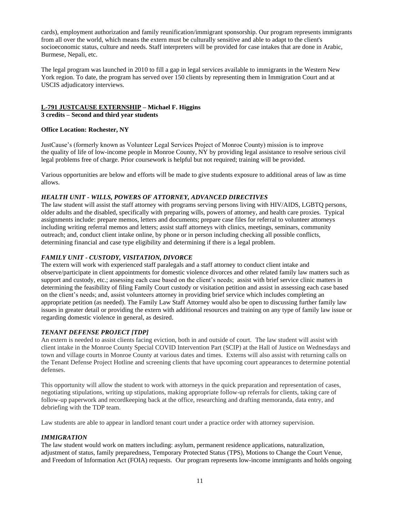cards), employment authorization and family reunification/immigrant sponsorship. Our program represents immigrants from all over the world, which means the extern must be culturally sensitive and able to adapt to the client's socioeconomic status, culture and needs. Staff interpreters will be provided for case intakes that are done in Arabic, Burmese, Nepali, etc.

The legal program was launched in 2010 to fill a gap in legal services available to immigrants in the Western New York region. To date, the program has served over 150 clients by representing them in Immigration Court and at USCIS adjudicatory interviews.

## **L-791 JUSTCAUSE EXTERNSHIP – Michael F. Higgins**

**3 credits – Second and third year students**

#### **Office Location: Rochester, NY**

JustCause's (formerly known as Volunteer Legal Services Project of Monroe County) mission is to improve the quality of life of low-income people in Monroe County, NY by providing legal assistance to resolve serious civil legal problems free of charge. Prior coursework is helpful but not required; training will be provided.

Various opportunities are below and efforts will be made to give students exposure to additional areas of law as time allows.

#### *HEALTH UNIT - WILLS, POWERS OF ATTORNEY, ADVANCED DIRECTIVES*

The law student will assist the staff attorney with programs serving persons living with HIV/AIDS, LGBTQ persons, older adults and the disabled, specifically with preparing wills, powers of attorney, and health care proxies. Typical assignments include: prepare memos, letters and documents; prepare case files for referral to volunteer attorneys including writing referral memos and letters; assist staff attorneys with clinics, meetings, seminars, community outreach; and, conduct client intake online, by phone or in person including checking all possible conflicts, determining financial and case type eligibility and determining if there is a legal problem.

## *FAMILY UNIT - CUSTODY, VISITATION, DIVORCE*

The extern will work with experienced staff paralegals and a staff attorney to conduct client intake and observe/participate in client appointments for domestic violence divorces and other related family law matters such as support and custody, etc.; assessing each case based on the client's needs; assist with brief service clinic matters in determining the feasibility of filing Family Court custody or visitation petition and assist in assessing each case based on the client's needs; and, assist volunteers attorney in providing brief service which includes completing an appropriate petition (as needed). The Family Law Staff Attorney would also be open to discussing further family law issues in greater detail or providing the extern with additional resources and training on any type of family law issue or regarding domestic violence in general, as desired.

## *TENANT DEFENSE PROJECT [TDP]*

An extern is needed to assist clients facing eviction, both in and outside of court. The law student will assist with client intake in the Monroe County Special COVID Intervention Part (SCIP) at the Hall of Justice on Wednesdays and town and village courts in Monroe County at various dates and times. Externs will also assist with returning calls on the Tenant Defense Project Hotline and screening clients that have upcoming court appearances to determine potential defenses.

This opportunity will allow the student to work with attorneys in the quick preparation and representation of cases, negotiating stipulations, writing up stipulations, making appropriate follow-up referrals for clients, taking care of follow-up paperwork and recordkeeping back at the office, researching and drafting memoranda, data entry, and debriefing with the TDP team.

Law students are able to appear in landlord tenant court under a practice order with attorney supervision.

#### *IMMIGRATION*

The law student would work on matters including: asylum, permanent residence applications, naturalization, adjustment of status, family preparedness, Temporary Protected Status (TPS), Motions to Change the Court Venue, and Freedom of Information Act (FOIA) requests. Our program represents low-income immigrants and holds ongoing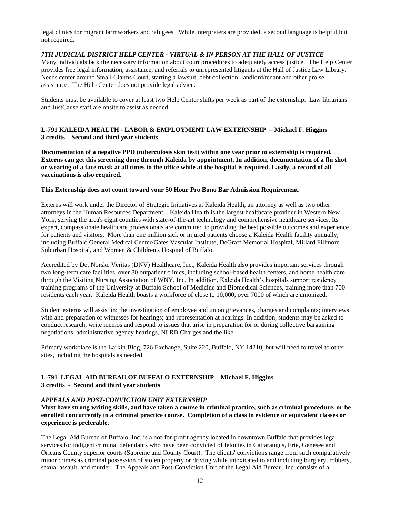legal clinics for migrant farmworkers and refugees. While interpreters are provided, a second language is helpful but not required.

#### *7TH JUDICIAL DISTRICT HELP CENTER - VIRTUAL & IN PERSON AT THE HALL OF JUSTICE*

Many individuals lack the necessary information about court procedures to adequately access justice. The Help Center provides free legal information, assistance, and referrals to unrepresented litigants at the Hall of Justice Law Library. Needs center around Small Claims Court, starting a lawsuit, debt collection, landlord/tenant and other pro se assistance. The Help Center does not provide legal advice.

Students must be available to cover at least two Help Center shifts per week as part of the externship. Law librarians and JustCause staff are onsite to assist as needed.

## **L-791 KALEIDA HEALTH - LABOR & EMPLOYMENT LAW EXTERNSHIP – Michael F. Higgins 3 credits – Second and third year students**

**Documentation of a negative PPD (tuberculosis skin test) within one year prior to externship is required. Externs can get this screening done through Kaleida by appointment. In addition, documentation of a flu shot or wearing of a face mask at all times in the office while at the hospital is required. Lastly, a record of all vaccinations is also required.** 

#### **This Externship does not count toward your 50 Hour Pro Bono Bar Admission Requirement.**

Externs will work under the Director of Strategic Initiatives at Kaleida Health, an attorney as well as two other attorneys in the Human Resources Department. Kaleida Health is the largest healthcare provider in Western New York, serving the area's eight counties with state-of-the-art technology and comprehensive healthcare services. Its expert, compassionate healthcare professionals are committed to providing the best possible outcomes and experience for patients and visitors. More than one million sick or injured patients choose a Kaleida Health facility annually, including [Buffalo General Medical Center/](http://www.kaleidahealth.org/BGMC)[Gates Vascular Institute,](http://www.kaleidahealth.org/gvi/) [DeGraff Memorial Hospital,](http://www.kaleidahealth.org/DeGraff/) [Millard Fillmore](http://www.kaleidahealth.org/Suburban/)  [Suburban Hospital,](http://www.kaleidahealth.org/Suburban/) an[d Women & Children's Hospital of Buffalo.](http://www.wchob.org/)

[Accredited by Det Norske Veritas \(DNV\) Healthcare, Inc.,](http://www.kaleidahealth.org/kyi/about/accreditation.asp) Kaleida Health also provides important services through two long-term care facilities, over 80 outpatient clinics, including school-based health centers, and home health care through the [Visiting Nursing Association of WNY, Inc.](http://www.vna-wny.org/) In addition, Kaleida Health's hospitals support residency training programs of the University at Buffalo School of Medicine and Biomedical Sciences, training more than 700 residents each year. Kaleida Health boasts a workforce of close to 10,000, over 7000 of which are unionized.

Student externs will assist in: the investigation of employee and union grievances, charges and complaints; interviews with and preparation of witnesses for hearings; and representation at hearings. In addition, students may be asked to conduct research, write memos and respond to issues that arise in preparation for or during collective bargaining negotiations, administrative agency hearings, NLRB Charges and the like.

Primary workplace is the Larkin Bldg, 726 Exchange, Suite 220, Buffalo, NY 14210, but will need to travel to other sites, including the hospitals as needed.

# **L-791 LEGAL AID BUREAU OF BUFFALO EXTERNSHIP – Michael F. Higgins**

**3 credits - Second and third year students**

## *APPEALS AND POST-CONVICTION UNIT EXTERNSHIP*

**Must have strong writing skills, and have taken a course in criminal practice, such as criminal procedure, or be enrolled concurrently in a criminal practice course. Completion of a class in evidence or equivalent classes or experience is preferable.** 

The Legal Aid Bureau of Buffalo, Inc. is a not-for-profit agency located in downtown Buffalo that provides legal services for indigent criminal defendants who have been convicted of felonies in Cattaraugus, Erie, Genesee and Orleans County superior courts (Supreme and County Court). The clients' convictions range from such comparatively minor crimes as criminal possession of stolen property or driving while intoxicated to and including burglary, robbery, sexual assault, and murder. The Appeals and Post-Conviction Unit of the Legal Aid Bureau, Inc. consists of a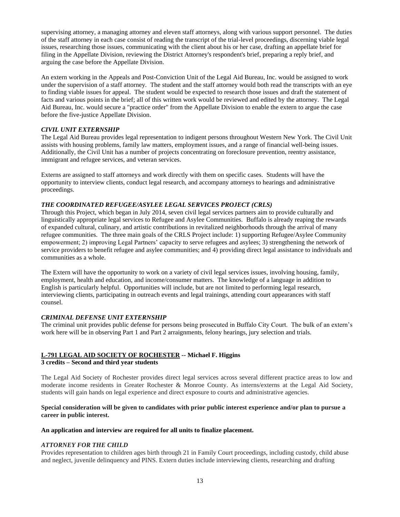supervising attorney, a managing attorney and eleven staff attorneys, along with various support personnel. The duties of the staff attorney in each case consist of reading the transcript of the trial-level proceedings, discerning viable legal issues, researching those issues, communicating with the client about his or her case, drafting an appellate brief for filing in the Appellate Division, reviewing the District Attorney's respondent's brief, preparing a reply brief, and arguing the case before the Appellate Division.

An extern working in the Appeals and Post-Conviction Unit of the Legal Aid Bureau, Inc. would be assigned to work under the supervision of a staff attorney. The student and the staff attorney would both read the transcripts with an eye to finding viable issues for appeal. The student would be expected to research those issues and draft the statement of facts and various points in the brief; all of this written work would be reviewed and edited by the attorney. The Legal Aid Bureau, Inc. would secure a "practice order" from the Appellate Division to enable the extern to argue the case before the five-justice Appellate Division.

## *CIVIL UNIT EXTERNSHIP*

The Legal Aid Bureau provides legal representation to indigent persons throughout Western New York. The Civil Unit assists with housing problems, family law matters, employment issues, and a range of financial well-being issues. Additionally, the Civil Unit has a number of projects concentrating on foreclosure prevention, reentry assistance, immigrant and refugee services, and veteran services.

Externs are assigned to staff attorneys and work directly with them on specific cases. Students will have the opportunity to interview clients, conduct legal research, and accompany attorneys to hearings and administrative proceedings.

## *THE COORDINATED REFUGEE/ASYLEE LEGAL SERVICES PROJECT (CRLS)*

Through this Project, which began in July 2014, seven civil legal services partners aim to provide culturally and linguistically appropriate legal services to Refugee and Asylee Communities. Buffalo is already reaping the rewards of expanded cultural, culinary, and artistic contributions in revitalized neighborhoods through the arrival of many refugee communities. The three main goals of the CRLS Project include: 1) supporting Refugee/Asylee Community empowerment; 2) improving Legal Partners' capacity to serve refugees and asylees; 3) strengthening the network of service providers to benefit refugee and asylee communities; and 4) providing direct legal assistance to individuals and communities as a whole.

The Extern will have the opportunity to work on a variety of civil legal services issues, involving housing, family, employment, health and education, and income/consumer matters. The knowledge of a language in addition to English is particularly helpful. Opportunities will include, but are not limited to performing legal research, interviewing clients, participating in outreach events and legal trainings, attending court appearances with staff counsel.

## *CRIMINAL DEFENSE UNIT EXTERNSHIP*

The criminal unit provides public defense for persons being prosecuted in Buffalo City Court. The bulk of an extern's work here will be in observing Part 1 and Part 2 arraignments, felony hearings, jury selection and trials.

## **L-791 LEGAL AID SOCIETY OF ROCHESTER -- Michael F. Higgins**

## **3 credits – Second and third year students**

The Legal Aid Society of Rochester provides direct legal services across several different practice areas to low and moderate income residents in Greater Rochester & Monroe County. As interns/externs at the Legal Aid Society, students will gain hands on legal experience and direct exposure to courts and administrative agencies.

**Special consideration will be given to candidates with prior public interest experience and/or plan to pursue a career in public interest.**

## **An application and interview are required for all units to finalize placement.**

## *ATTORNEY FOR THE CHILD*

Provides representation to children ages birth through 21 in Family Court proceedings, including custody, child abuse and neglect, juvenile delinquency and PINS. Extern duties include interviewing clients, researching and drafting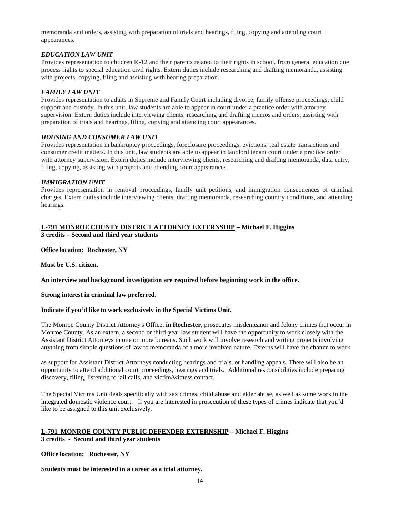memoranda and orders, assisting with preparation of trials and hearings, filing, copying and attending court appearances.

## *EDUCATION LAW UNIT*

Provides representation to children K-12 and their parents related to their rights in school, from general education due process rights to special education civil rights. Extern duties include researching and drafting memoranda, assisting with projects, copying, filing and assisting with hearing preparation.

#### *FAMILY LAW UNIT*

Provides representation to adults in Supreme and Family Court including divorce, family offense proceedings, child support and custody. In this unit, law students are able to appear in court under a practice order with attorney supervision. Extern duties include interviewing clients, researching and drafting memos and orders, assisting with preparation of trials and hearings, filing, copying and attending court appearances.

#### *HOUSING AND CONSUMER LAW UNIT*

Provides representation in bankruptcy proceedings, foreclosure proceedings, evictions, real estate transactions and consumer credit matters. In this unit, law students are able to appear in landlord tenant court under a practice order with attorney supervision. Extern duties include interviewing clients, researching and drafting memoranda, data entry, filing, copying, assisting with projects and attending court appearances.

#### *IMMIGRATION UNIT*

Provides representation in removal proceedings, family unit petitions, and immigration consequences of criminal charges. Extern duties include interviewing clients, drafting memoranda, researching country conditions, and attending hearings.

## **L-791 MONROE COUNTY DISTRICT ATTORNEY EXTERNSHIP – Michael F. Higgins 3 credits – Second and third year students**

**Office location: Rochester, NY**

**Must be U.S. citizen.**

**An interview and background investigation are required before beginning work in the office.**

#### **Strong interest in criminal law preferred.**

#### **Indicate if you'd like to work exclusively in the Special Victims Unit.**

The Monroe County District Attorney's Office, **in Rochester,** prosecutes misdemeanor and felony crimes that occur in Monroe County. As an extern, a second or third-year law student will have the opportunity to work closely with the Assistant District Attorneys in one or more bureaus. Such work will involve research and writing projects involving anything from simple questions of law to memoranda of a more involved nature. Externs will have the chance to work

as support for Assistant District Attorneys conducting hearings and trials, or handling appeals. There will also be an opportunity to attend additional court proceedings, hearings and trials. Additional responsibilities include preparing discovery, filing, listening to jail calls, and victim/witness contact.

The Special Victims Unit deals specifically with sex crimes, child abuse and elder abuse, as well as some work in the integrated domestic violence court. If you are interested in prosecution of these types of crimes indicate that you'd like to be assigned to this unit exclusively.

#### **L-791 MONROE COUNTY PUBLIC DEFENDER EXTERNSHIP – Michael F. Higgins 3 credits - Second and third year students**

**Office location: Rochester, NY**

**Students must be interested in a career as a trial attorney.**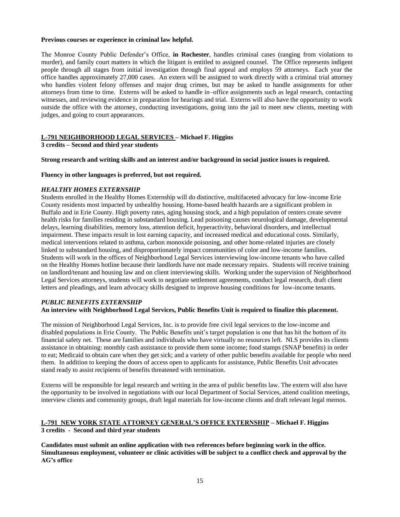#### **Previous courses or experience in criminal law helpful.**

The Monroe County Public Defender's Office, **in Rochester**, handles criminal cases (ranging from violations to murder), and family court matters in which the litigant is entitled to assigned counsel. The Office represents indigent people through all stages from initial investigation through final appeal and employs 59 attorneys. Each year the office handles approximately 27,000 cases. An extern will be assigned to work directly with a criminal trial attorney who handles violent felony offenses and major drug crimes, but may be asked to handle assignments for other attorneys from time to time. Externs will be asked to handle in–office assignments such as legal research, contacting witnesses, and reviewing evidence in preparation for hearings and trial. Externs will also have the opportunity to work outside the office with the attorney, conducting investigations, going into the jail to meet new clients, meeting with judges, and going to court appearances.

## **L-791 NEIGHBORHOOD LEGAL SERVICES – Michael F. Higgins**

**3 credits – Second and third year students**

#### **Strong research and writing skills and an interest and/or background in social justice issues is required.**

#### **Fluency in other languages is preferred, but not required.**

#### *HEALTHY HOMES EXTERNSHIP*

Students enrolled in the Healthy Homes Externship will do distinctive, multifaceted advocacy for low-income Erie County residents most impacted by unhealthy housing. Home-based health hazards are a significant problem in Buffalo and in Erie County. High poverty rates, aging housing stock, and a high population of renters create severe health risks for families residing in substandard housing. Lead poisoning causes neurological damage, developmental delays, learning disabilities, memory loss, attention deficit, hyperactivity, behavioral disorders, and intellectual impairment. These impacts result in lost earning capacity, and increased medical and educational costs. Similarly, medical interventions related to asthma, carbon monoxide poisoning, and other home-related injuries are closely linked to substandard housing, and disproportionately impact communities of color and low-income families. Students will work in the offices of Neighborhood Legal Services interviewing low-income tenants who have called on the Healthy Homes hotline because their landlords have not made necessary repairs. Students will receive training on landlord/tenant and housing law and on client interviewing skills. Working under the supervision of Neighborhood Legal Services attorneys, students will work to negotiate settlement agreements, conduct legal research, draft client letters and pleadings, and learn advocacy skills designed to improve housing conditions for low-income tenants.

#### *PUBLIC BENEFITS EXTERNSHIP*

## **An interview with Neighborhood Legal Services, Public Benefits Unit is required to finalize this placement.**

The mission of Neighborhood Legal Services, Inc. is to provide free civil legal services to the low-income and disabled populations in Erie County. The Public Benefits unit's target population is one that has hit the bottom of its financial safety net. These are families and individuals who have virtually no resources left. NLS provides its clients assistance in obtaining: monthly cash assistance to provide them some income; food stamps (SNAP benefits) in order to eat; Medicaid to obtain care when they get sick; and a variety of other public benefits available for people who need them. In addition to keeping the doors of access open to applicants for assistance, Public Benefits Unit advocates stand ready to assist recipients of benefits threatened with termination.

Externs will be responsible for legal research and writing in the area of public benefits law. The extern will also have the opportunity to be involved in negotiations with our local Department of Social Services, attend coalition meetings, interview clients and community groups, draft legal materials for low-income clients and draft relevant legal memos.

## **L-791 NEW YORK STATE ATTORNEY GENERAL'S OFFICE EXTERNSHIP – Michael F. Higgins 3 credits - Second and third year students**

**Candidates must submit an online application with two references before beginning work in the office. Simultaneous employment, volunteer or clinic activities will be subject to a conflict check and approval by the AG's office**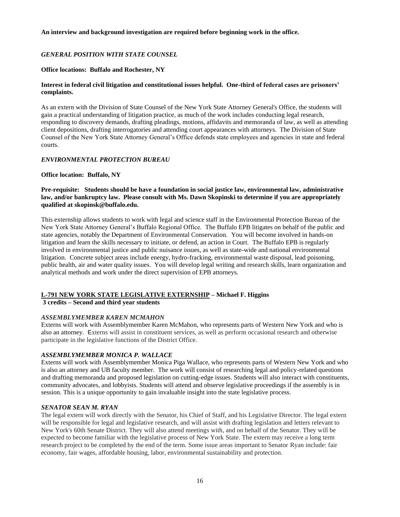#### **An interview and background investigation are required before beginning work in the office.**

## *GENERAL POSITION WITH STATE COUNSEL*

#### **Office locations: Buffalo and Rochester, NY**

## **Interest in federal civil litigation and constitutional issues helpful. One-third of federal cases are prisoners' complaints.**

As an extern with the Division of State Counsel of the New York State Attorney General's Office, the students will gain a practical understanding of litigation practice, as much of the work includes conducting legal research, responding to discovery demands, drafting pleadings, motions, affidavits and memoranda of law, as well as attending client depositions, drafting interrogatories and attending court appearances with attorneys. The Division of State Counsel of the New York State Attorney General's Office defends state employees and agencies in state and federal courts.

#### *ENVIRONMENTAL PROTECTION BUREAU*

#### **Office location: Buffalo, NY**

## **Pre-requisite: Students should be have a foundation in social justice law, environmental law, administrative law, and/or bankruptcy law. Please consult with Ms. Dawn Skopinski to determine if you are appropriately qualified at skopinsk@buffalo.edu.**

This externship allows students to work with legal and science staff in the Environmental Protection Bureau of the New York State Attorney General's Buffalo Regional Office. The Buffalo EPB litigates on behalf of the public and state agencies, notably the Department of Environmental Conservation. You will become involved in hands-on litigation and learn the skills necessary to initiate, or defend, an action in Court. The Buffalo EPB is regularly involved in environmental justice and public nuisance issues, as well as state-wide and national environmental litigation. Concrete subject areas include energy, hydro-fracking, environmental waste disposal, lead poisoning, public health, air and water quality issues. You will develop legal writing and research skills, learn organization and analytical methods and work under the direct supervision of EPB attorneys.

#### **L-791 NEW YORK STATE LEGISLATIVE EXTERNSHIP – Michael F. Higgins 3 credits – Second and third year students**

## *ASSEMBLYMEMBER KAREN MCMAHON*

Externs will work with Assemblymember Karen McMahon, who represents parts of Western New York and who is also an attorney. Externs will assist in constituent services, as well as perform occasional research and otherwise participate in the legislative functions of the District Office.

## *ASSEMBLYMEMBER MONICA P. WALLACE*

Externs will work with Assemblymember Monica Piga Wallace, who represents parts of Western New York and who is also an attorney and UB faculty member. The work will consist of researching legal and policy-related questions and drafting memoranda and proposed legislation on cutting-edge issues. Students will also interact with constituents, community advocates, and lobbyists. Students will attend and observe legislative proceedings if the assembly is in session. This is a unique opportunity to gain invaluable insight into the state legislative process.

#### *SENATOR SEAN M. RYAN*

The legal extern will work directly with the Senator, his Chief of Staff, and his Legislative Director. The legal extern will be responsible for legal and legislative research, and will assist with drafting legislation and letters relevant to New York's 60th Senate District. They will also attend meetings with, and on behalf of the Senator. They will be expected to become familiar with the legislative process of New York State. The extern may receive a long term research project to be completed by the end of the term. Some issue areas important to Senator Ryan include: fair economy, fair wages, affordable housing, labor, environmental sustainability and protection.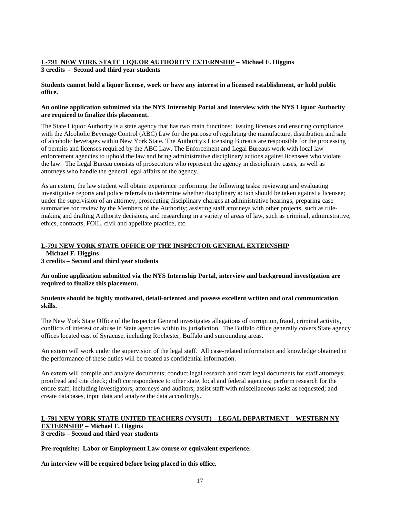## **L-791 NEW YORK STATE LIQUOR AUTHORITY EXTERNSHIP – Michael F. Higgins 3 credits - Second and third year students**

## **Students cannot hold a liquor license, work or have any interest in a licensed establishment, or hold public office.**

## **An online application submitted via the NYS Internship Portal and interview with the NYS Liquor Authority are required to finalize this placement.**

The State Liquor Authority is a state agency that has two main functions: issuing licenses and ensuring compliance with the Alcoholic Beverage Control (ABC) Law for the purpose of regulating the manufacture, distribution and sale of alcoholic beverages within New York State. The Authority's Licensing Bureaus are responsible for the processing of permits and licenses required by the ABC Law. The Enforcement and Legal Bureaus work with local law enforcement agencies to uphold the law and bring administrative disciplinary actions against licensees who violate the law. The Legal Bureau consists of prosecutors who represent the agency in disciplinary cases, as well as attorneys who handle the general legal affairs of the agency.

As an extern, the law student will obtain experience performing the following tasks: reviewing and evaluating investigative reports and police referrals to determine whether disciplinary action should be taken against a licensee; under the supervision of an attorney, prosecuting disciplinary charges at administrative hearings; preparing case summaries for review by the Members of the Authority; assisting staff attorneys with other projects, such as rulemaking and drafting Authority decisions, and researching in a variety of areas of law, such as criminal, administrative, ethics, contracts, FOIL, civil and appellate practice, etc.

## **L-791 NEW YORK STATE OFFICE OF THE INSPECTOR GENERAL EXTERNSHIP**

**– Michael F. Higgins**

**3 credits – Second and third year students**

#### **An online application submitted via the NYS Internship Portal, interview and background investigation are required to finalize this placement.**

#### **Students should be highly motivated, detail-oriented and possess excellent written and oral communication skills.**

The New York State Office of the Inspector General investigates allegations of corruption, fraud, criminal activity, conflicts of interest or abuse in State agencies within its jurisdiction. The Buffalo office generally covers State agency offices located east of Syracuse, including Rochester, Buffalo and surrounding areas.

An extern will work under the supervision of the legal staff. All case-related information and knowledge obtained in the performance of these duties will be treated as confidential information.

An extern will compile and analyze documents; conduct legal research and draft legal documents for staff attorneys; proofread and cite check; draft correspondence to other state, local and federal agencies; perform research for the entire staff, including investigators, attorneys and auditors; assist staff with miscellaneous tasks as requested; and create databases, input data and analyze the data accordingly.

## **L-791 NEW YORK STATE UNITED TEACHERS (NYSUT) – LEGAL DEPARTMENT – WESTERN NY EXTERNSHIP – Michael F. Higgins**

**3 credits – Second and third year students**

**Pre-requisite: Labor or Employment Law course or equivalent experience.**

**An interview will be required before being placed in this office.**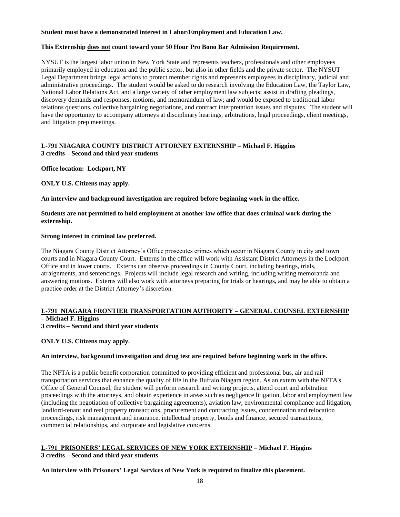#### **Student must have a demonstrated interest in Labor/Employment and Education Law.**

## **This Externship does not count toward your 50 Hour Pro Bono Bar Admission Requirement.**

NYSUT is the largest labor union in New York State and represents teachers, professionals and other employees primarily employed in education and the public sector, but also in other fields and the private sector. The NYSUT Legal Department brings legal actions to protect member rights and represents employees in disciplinary, judicial and administrative proceedings. The student would be asked to do research involving the Education Law, the Taylor Law, National Labor Relations Act, and a large variety of other employment law subjects; assist in drafting pleadings, discovery demands and responses, motions, and memorandum of law; and would be exposed to traditional labor relations questions, collective bargaining negotiations, and contract interpretation issues and disputes. The student will have the opportunity to accompany attorneys at disciplinary hearings, arbitrations, legal proceedings, client meetings, and litigation prep meetings.

## **L-791 NIAGARA COUNTY DISTRICT ATTORNEY EXTERNSHIP – Michael F. Higgins**

**3 credits – Second and third year students**

**Office location: Lockport, NY**

**ONLY U.S. Citizens may apply.**

**An interview and background investigation are required before beginning work in the office.**

**Students are not permitted to hold employment at another law office that does criminal work during the externship.**

## **Strong interest in criminal law preferred.**

The Niagara County District Attorney's Office prosecutes crimes which occur in Niagara County in city and town courts and in Niagara County Court. Externs in the office will work with Assistant District Attorneys in the Lockport Office and in lower courts. Externs can observe proceedings in County Court, including hearings, trials, arraignments, and sentencings. Projects will include legal research and writing, including writing memoranda and answering motions. Externs will also work with attorneys preparing for trials or hearings, and may be able to obtain a practice order at the District Attorney's discretion.

#### **L-791 NIAGARA FRONTIER TRANSPORTATION AUTHORITY – GENERAL COUNSEL EXTERNSHIP – Michael F. Higgins**

**3 credits – Second and third year students**

**ONLY U.S. Citizens may apply.**

## **An interview, background investigation and drug test are required before beginning work in the office.**

The NFTA is a public benefit corporation committed to providing efficient and professional bus, air and rail transportation services that enhance the quality of life in the Buffalo Niagara region. As an extern with the NFTA's Office of General Counsel, the student will perform research and writing projects, attend court and arbitration proceedings with the attorneys, and obtain experience in areas such as negligence litigation, labor and employment law (including the negotiation of collective bargaining agreements), aviation law, environmental compliance and litigation, landlord-tenant and real property transactions, procurement and contracting issues, condemnation and relocation proceedings, risk management and insurance, intellectual property, bonds and finance, secured transactions, commercial relationships, and corporate and legislative concerns.

#### **L-791 PRISONERS' LEGAL SERVICES OF NEW YORK EXTERNSHIP – Michael F. Higgins 3 credits – Second and third year students**

**An interview with Prisoners' Legal Services of New York is required to finalize this placement.**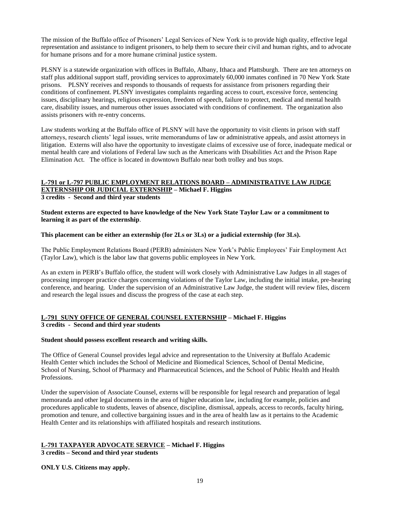The mission of the Buffalo office of Prisoners' Legal Services of New York is to provide high quality, effective legal representation and assistance to indigent prisoners, to help them to secure their civil and human rights, and to advocate for humane prisons and for a more humane criminal justice system.

PLSNY is a statewide organization with offices in Buffalo, Albany, Ithaca and Plattsburgh. There are ten attorneys on staff plus additional support staff, providing services to approximately 60,000 inmates confined in 70 New York State prisons. PLSNY receives and responds to thousands of requests for assistance from prisoners regarding their conditions of confinement. PLSNY investigates complaints regarding access to court, excessive force, sentencing issues, disciplinary hearings, religious expression, freedom of speech, failure to protect, medical and mental health care, disability issues, and numerous other issues associated with conditions of confinement. The organization also assists prisoners with re-entry concerns.

Law students working at the Buffalo office of PLSNY will have the opportunity to visit clients in prison with staff attorneys, research clients' legal issues, write memorandums of law or administrative appeals, and assist attorneys in litigation. Externs will also have the opportunity to investigate claims of excessive use of force, inadequate medical or mental health care and violations of Federal law such as the Americans with Disabilities Act and the Prison Rape Elimination Act. The office is located in downtown Buffalo near both trolley and bus stops.

## **L-791 or L-797 PUBLIC EMPLOYMENT RELATIONS BOARD – ADMINISTRATIVE LAW JUDGE EXTERNSHIP OR JUDICIAL EXTERNSHIP – Michael F. Higgins**

**3 credits - Second and third year students**

**Student externs are expected to have knowledge of the New York State Taylor Law or a commitment to learning it as part of the externship**.

## **This placement can be either an externship (for 2Ls or 3Ls) or a judicial externship (for 3Ls).**

The Public Employment Relations Board (PERB) administers New York's Public Employees' Fair Employment Act (Taylor Law), which is the labor law that governs public employees in New York.

As an extern in PERB's Buffalo office, the student will work closely with Administrative Law Judges in all stages of processing improper practice charges concerning violations of the Taylor Law, including the initial intake, pre-hearing conference, and hearing. Under the supervision of an Administrative Law Judge, the student will review files, discern and research the legal issues and discuss the progress of the case at each step.

## **L-791 SUNY OFFICE OF GENERAL COUNSEL EXTERNSHIP – Michael F. Higgins 3 credits - Second and third year students**

#### **Student should possess excellent research and writing skills.**

The Office of General Counsel provides legal advice and representation to the University at Buffalo Academic Health Center which includes the School of Medicine and Biomedical Sciences, School of Dental Medicine, School of Nursing, School of Pharmacy and Pharmaceutical Sciences, and the School of Public Health and Health Professions.

Under the supervision of Associate Counsel, externs will be responsible for legal research and preparation of legal memoranda and other legal documents in the area of higher education law, including for example, policies and procedures applicable to students, leaves of absence, discipline, dismissal, appeals, access to records, faculty hiring, promotion and tenure, and collective bargaining issues and in the area of health law as it pertains to the Academic Health Center and its relationships with affiliated hospitals and research institutions.

## **L-791 TAXPAYER ADVOCATE SERVICE – Michael F. Higgins**

**3 credits – Second and third year students**

## **ONLY U.S. Citizens may apply.**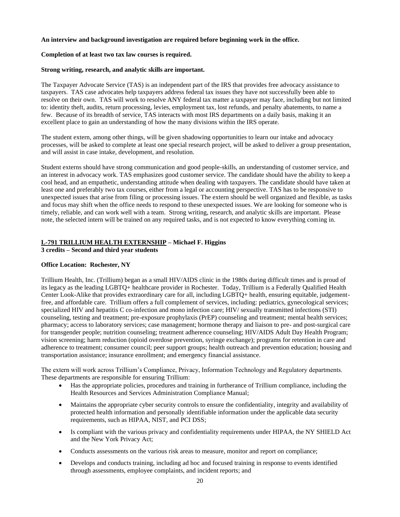#### **An interview and background investigation are required before beginning work in the office.**

#### **Completion of at least two tax law courses is required.**

#### **Strong writing, research, and analytic skills are important.**

The Taxpayer Advocate Service (TAS) is an independent part of the IRS that provides free advocacy assistance to taxpayers. TAS case advocates help taxpayers address federal tax issues they have not successfully been able to resolve on their own. TAS will work to resolve ANY federal tax matter a taxpayer may face, including but not limited to: identity theft, audits, return processing, levies, employment tax, lost refunds, and penalty abatements, to name a few. Because of its breadth of service, TAS interacts with most IRS departments on a daily basis, making it an excellent place to gain an understanding of how the many divisions within the IRS operate.

The student extern, among other things, will be given shadowing opportunities to learn our intake and advocacy processes, will be asked to complete at least one special research project, will be asked to deliver a group presentation, and will assist in case intake, development, and resolution.

Student externs should have strong communication and good people-skills, an understanding of customer service, and an interest in advocacy work. TAS emphasizes good customer service. The candidate should have the ability to keep a cool head, and an empathetic, understanding attitude when dealing with taxpayers. The candidate should have taken at least one and preferably two tax courses, either from a legal or accounting perspective. TAS has to be responsive to unexpected issues that arise from filing or processing issues. The extern should be well organized and flexible, as tasks and focus may shift when the office needs to respond to these unexpected issues. We are looking for someone who is timely, reliable, and can work well with a team. Strong writing, research, and analytic skills are important. Please note, the selected intern will be trained on any required tasks, and is not expected to know everything coming in.

## **L-791 TRILLIUM HEALTH EXTERNSHIP – Michael F. Higgins**

**3 credits – Second and third year students**

#### **Office Location: Rochester, NY**

Trillium Health, Inc. (Trillium) began as a small HIV/AIDS clinic in the 1980s during difficult times and is proud of its legacy as the leading LGBTQ+ healthcare provider in Rochester. Today, Trillium is a Federally Qualified Health Center Look-Alike that provides extraordinary care for all, including LGBTQ+ health, ensuring equitable, judgementfree, and affordable care. Trillium offers a full complement of services, including: pediatrics, gynecological services; specialized HIV and hepatitis C co-infection and mono infection care; HIV/ sexually transmitted infections (STI) counseling, testing and treatment; pre-exposure prophylaxis (PrEP) counseling and treatment; mental health services; pharmacy; access to laboratory services; case management; hormone therapy and liaison to pre- and post-surgical care for transgender people; nutrition counseling; treatment adherence counseling; HIV/AIDS Adult Day Health Program; vision screening; harm reduction (opioid overdose prevention, syringe exchange); programs for retention in care and adherence to treatment; consumer council; peer support groups; health outreach and prevention education; housing and transportation assistance; insurance enrollment; and emergency financial assistance.

The extern will work across Trillium's Compliance, Privacy, Information Technology and Regulatory departments. These departments are responsible for ensuring Trillium:

- Has the appropriate policies, procedures and training in furtherance of Trillium compliance, including the Health Resources and Services Administration Compliance Manual;
- Maintains the appropriate cyber security controls to ensure the confidentiality, integrity and availability of protected health information and personally identifiable information under the applicable data security requirements, such as HIPAA, NIST, and PCI DSS;
- Is compliant with the various privacy and confidentiality requirements under HIPAA, the NY SHIELD Act and the New York Privacy Act;
- Conducts assessments on the various risk areas to measure, monitor and report on compliance;
- Develops and conducts training, including ad hoc and focused training in response to events identified through assessments, employee complaints, and incident reports; and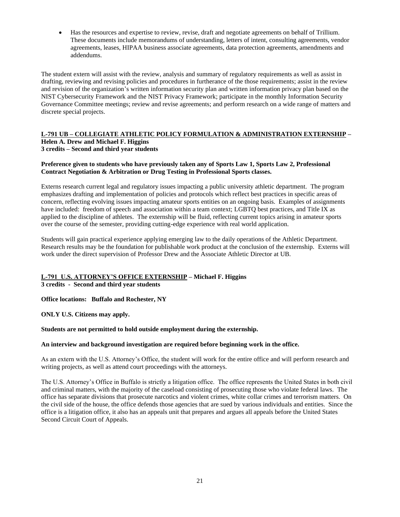• Has the resources and expertise to review, revise, draft and negotiate agreements on behalf of Trillium. These documents include memorandums of understanding, letters of intent, consulting agreements, vendor agreements, leases, HIPAA business associate agreements, data protection agreements, amendments and addendums.

The student extern will assist with the review, analysis and summary of regulatory requirements as well as assist in drafting, reviewing and revising policies and procedures in furtherance of the those requirements; assist in the review and revision of the organization's written information security plan and written information privacy plan based on the NIST Cybersecurity Framework and the NIST Privacy Framework; participate in the monthly Information Security Governance Committee meetings; review and revise agreements; and perform research on a wide range of matters and discrete special projects.

## **L-791 UB – COLLEGIATE ATHLETIC POLICY FORMULATION & ADMINISTRATION EXTERNSHIP – Helen A. Drew and Michael F. Higgins 3 credits – Second and third year students**

#### **Preference given to students who have previously taken any of Sports Law 1, Sports Law 2, Professional Contract Negotiation & Arbitration or Drug Testing in Professional Sports classes.**

Externs research current legal and regulatory issues impacting a public university athletic department. The program emphasizes drafting and implementation of policies and protocols which reflect best practices in specific areas of concern, reflecting evolving issues impacting amateur sports entities on an ongoing basis. Examples of assignments have included: freedom of speech and association within a team context; LGBTQ best practices, and Title IX as applied to the discipline of athletes. The externship will be fluid, reflecting current topics arising in amateur sports over the course of the semester, providing cutting-edge experience with real world application.

Students will gain practical experience applying emerging law to the daily operations of the Athletic Department. Research results may be the foundation for publishable work product at the conclusion of the externship. Externs will work under the direct supervision of Professor Drew and the Associate Athletic Director at UB.

## **L-791 U.S. ATTORNEY'S OFFICE EXTERNSHIP – Michael F. Higgins**

**3 credits - Second and third year students**

**Office locations: Buffalo and Rochester, NY** 

**ONLY U.S. Citizens may apply.**

#### **Students are not permitted to hold outside employment during the externship.**

## **An interview and background investigation are required before beginning work in the office.**

As an extern with the U.S. Attorney's Office, the student will work for the entire office and will perform research and writing projects, as well as attend court proceedings with the attorneys.

The U.S. Attorney's Office in Buffalo is strictly a litigation office. The office represents the United States in both civil and criminal matters, with the majority of the caseload consisting of prosecuting those who violate federal laws. The office has separate divisions that prosecute narcotics and violent crimes, white collar crimes and terrorism matters. On the civil side of the house, the office defends those agencies that are sued by various individuals and entities. Since the office is a litigation office, it also has an appeals unit that prepares and argues all appeals before the United States Second Circuit Court of Appeals.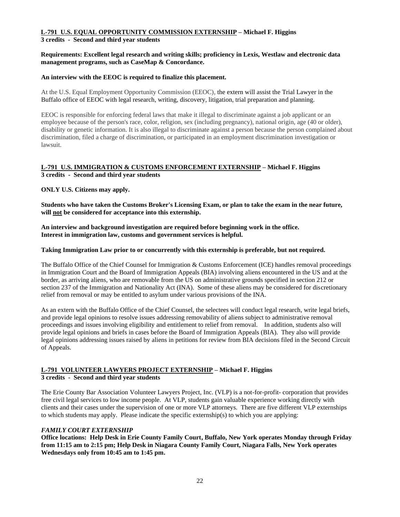# **L-791 U.S. EQUAL OPPORTUNITY COMMISSION EXTERNSHIP – Michael F. Higgins**

## **3 credits - Second and third year students**

## **Requirements: Excellent legal research and writing skills; proficiency in Lexis, Westlaw and electronic data management programs, such as CaseMap & Concordance.**

## **An interview with the EEOC is required to finalize this placement.**

At the U.S. Equal Employment Opportunity Commission (EEOC), the extern will assist the Trial Lawyer in the Buffalo office of EEOC with legal research, writing, discovery, litigation, trial preparation and planning.

EEOC is responsible for enforcing federal laws that make it illegal to discriminate against a job applicant or an employee because of the person's race, color, religion, sex (including pregnancy), national origin, age (40 or older), disability or genetic information. It is also illegal to discriminate against a person because the person complained about discrimination, filed a charge of discrimination, or participated in an employment discrimination investigation or lawsuit.

## **L-791 U.S. IMMIGRATION & CUSTOMS ENFORCEMENT EXTERNSHIP – Michael F. Higgins 3 credits - Second and third year students**

**ONLY U.S. Citizens may apply.**

**Students who have taken the Customs Broker's Licensing Exam, or plan to take the exam in the near future, will not be considered for acceptance into this externship.** 

**An interview and background investigation are required before beginning work in the office. Interest in immigration law, customs and government services is helpful.** 

## **Taking Immigration Law prior to or concurrently with this externship is preferable, but not required.**

The Buffalo Office of the Chief Counsel for Immigration & Customs Enforcement (ICE) handles removal proceedings in Immigration Court and the Board of Immigration Appeals (BIA) involving aliens encountered in the US and at the border, as arriving aliens, who are removable from the US on administrative grounds specified in section 212 or section 237 of the Immigration and Nationality Act (INA). Some of these aliens may be considered for discretionary relief from removal or may be entitled to asylum under various provisions of the INA.

As an extern with the Buffalo Office of the Chief Counsel, the selectees will conduct legal research, write legal briefs, and provide legal opinions to resolve issues addressing removability of aliens subject to administrative removal proceedings and issues involving eligibility and entitlement to relief from removal. In addition, students also will provide legal opinions and briefs in cases before the Board of Immigration Appeals (BIA). They also will provide legal opinions addressing issues raised by aliens in petitions for review from BIA decisions filed in the Second Circuit of Appeals.

## **L-791 VOLUNTEER LAWYERS PROJECT EXTERNSHIP – Michael F. Higgins 3 credits - Second and third year students**

The Erie County Bar Association Volunteer Lawyers Project, Inc. (VLP) is a not-for-profit- corporation that provides free civil legal services to low income people. At VLP, students gain valuable experience working directly with clients and their cases under the supervision of one or more VLP attorneys. There are five different VLP externships to which students may apply. Please indicate the specific externship(s) to which you are applying:

## *FAMILY COURT EXTERNSHIP*

**Office locations: Help Desk in Erie County Family Court, Buffalo, New York operates Monday through Friday from 11:15 am to 2:15 pm; Help Desk in Niagara County Family Court, Niagara Falls, New York operates Wednesdays only from 10:45 am to 1:45 pm.**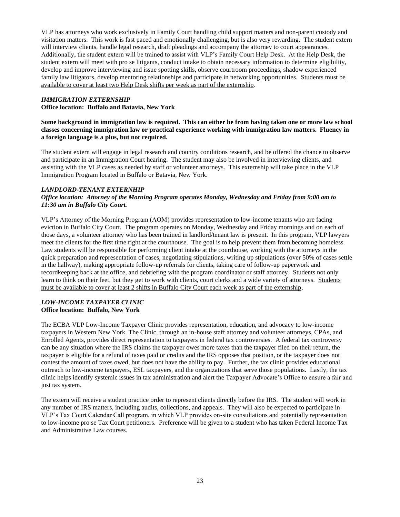VLP has attorneys who work exclusively in Family Court handling child support matters and non-parent custody and visitation matters. This work is fast paced and emotionally challenging, but is also very rewarding. The student extern will interview clients, handle legal research, draft pleadings and accompany the attorney to court appearances. Additionally, the student extern will be trained to assist with VLP's Family Court Help Desk. At the Help Desk, the student extern will meet with pro se litigants, conduct intake to obtain necessary information to determine eligibility, develop and improve interviewing and issue spotting skills, observe courtroom proceedings, shadow experienced family law litigators, develop mentoring relationships and participate in networking opportunities. Students must be available to cover at least two Help Desk shifts per week as part of the externship.

## *IMMIGRATION EXTERNSHIP* **Office location: Buffalo and Batavia, New York**

**Some background in immigration law is required. This can either be from having taken one or more law school classes concerning immigration law or practical experience working with immigration law matters. Fluency in a foreign language is a plus, but not required.**

The student extern will engage in legal research and country conditions research, and be offered the chance to observe and participate in an Immigration Court hearing. The student may also be involved in interviewing clients, and assisting with the VLP cases as needed by staff or volunteer attorneys. This externship will take place in the VLP Immigration Program located in Buffalo or Batavia, New York.

## *LANDLORD-TENANT EXTERNHIP*

## *Office location: Attorney of the Morning Program operates Monday, Wednesday and Friday from 9:00 am to 11:30 am in Buffalo City Court.*

VLP's Attorney of the Morning Program (AOM) provides representation to low-income tenants who are facing eviction in Buffalo City Court. The program operates on Monday, Wednesday and Friday mornings and on each of those days, a volunteer attorney who has been trained in landlord/tenant law is present. In this program, VLP lawyers meet the clients for the first time right at the courthouse. The goal is to help prevent them from becoming homeless. Law students will be responsible for performing client intake at the courthouse, working with the attorneys in the quick preparation and representation of cases, negotiating stipulations, writing up stipulations (over 50% of cases settle in the hallway), making appropriate follow-up referrals for clients, taking care of follow-up paperwork and recordkeeping back at the office, and debriefing with the program coordinator or staff attorney. Students not only learn to think on their feet, but they get to work with clients, court clerks and a wide variety of attorneys. Students must be available to cover at least 2 shifts in Buffalo City Court each week as part of the externship.

#### *LOW-INCOME TAXPAYER CLINIC*  **Office location: Buffalo, New York**

The ECBA VLP Low-Income Taxpayer Clinic provides representation, education, and advocacy to low-income taxpayers in Western New York. The Clinic, through an in-house staff attorney and volunteer attorneys, CPAs, and Enrolled Agents, provides direct representation to taxpayers in federal tax controversies. A federal tax controversy can be any situation where the IRS claims the taxpayer owes more taxes than the taxpayer filed on their return, the taxpayer is eligible for a refund of taxes paid or credits and the IRS opposes that position, or the taxpayer does not contest the amount of taxes owed, but does not have the ability to pay. Further, the tax clinic provides educational outreach to low-income taxpayers, ESL taxpayers, and the organizations that serve those populations. Lastly, the tax clinic helps identify systemic issues in tax administration and alert the Taxpayer Advocate's Office to ensure a fair and just tax system.

The extern will receive a student practice order to represent clients directly before the IRS. The student will work in any number of IRS matters, including audits, collections, and appeals. They will also be expected to participate in VLP's Tax Court Calendar Call program, in which VLP provides on-site consultations and potentially representation to low-income pro se Tax Court petitioners. Preference will be given to a student who has taken Federal Income Tax and Administrative Law courses.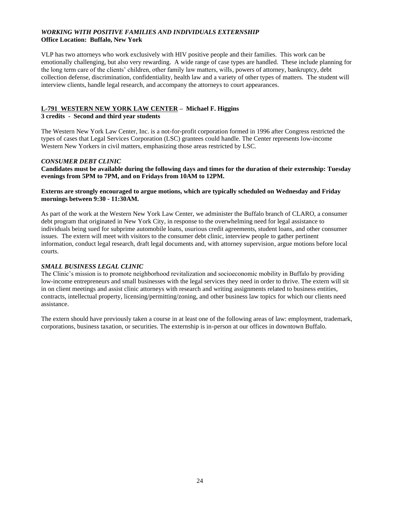## *WORKING WITH POSITIVE FAMILIES AND INDIVIDUALS EXTERNSHIP* **Office Location: Buffalo, New York**

VLP has two attorneys who work exclusively with HIV positive people and their families. This work can be emotionally challenging, but also very rewarding. A wide range of case types are handled. These include planning for the long term care of the clients' children, other family law matters, wills, powers of attorney, bankruptcy, debt collection defense, discrimination, confidentiality, health law and a variety of other types of matters. The student will interview clients, handle legal research, and accompany the attorneys to court appearances.

## **L-791 WESTERN NEW YORK LAW CENTER – Michael F. Higgins**

#### **3 credits - Second and third year students**

The Western New York Law Center, Inc. is a not-for-profit corporation formed in 1996 after Congress restricted the types of cases that Legal Services Corporation (LSC) grantees could handle. The Center represents low-income Western New Yorkers in civil matters, emphasizing those areas restricted by LSC.

## *CONSUMER DEBT CLINIC*

**Candidates must be available during the following days and times for the duration of their externship: Tuesday evenings from 5PM to 7PM, and on Fridays from 10AM to 12PM.** 

#### **Externs are strongly encouraged to argue motions, which are typically scheduled on Wednesday and Friday mornings between 9:30 - 11:30AM.**

As part of the work at the Western New York Law Center, we administer the Buffalo branch of CLARO, a consumer debt program that originated in New York City, in response to the overwhelming need for legal assistance to individuals being sued for subprime automobile loans, usurious credit agreements, student loans, and other consumer issues. The extern will meet with visitors to the consumer debt clinic, interview people to gather pertinent information, conduct legal research, draft legal documents and, with attorney supervision, argue motions before local courts.

## *SMALL BUSINESS LEGAL CLINIC*

The Clinic's mission is to promote neighborhood revitalization and socioeconomic mobility in Buffalo by providing low-income entrepreneurs and small businesses with the legal services they need in order to thrive. The extern will sit in on client meetings and assist clinic attorneys with research and writing assignments related to business entities, contracts, intellectual property, licensing/permitting/zoning, and other business law topics for which our clients need assistance.

The extern should have previously taken a course in at least one of the following areas of law: employment, trademark, corporations, business taxation, or securities. The externship is in-person at our offices in downtown Buffalo.